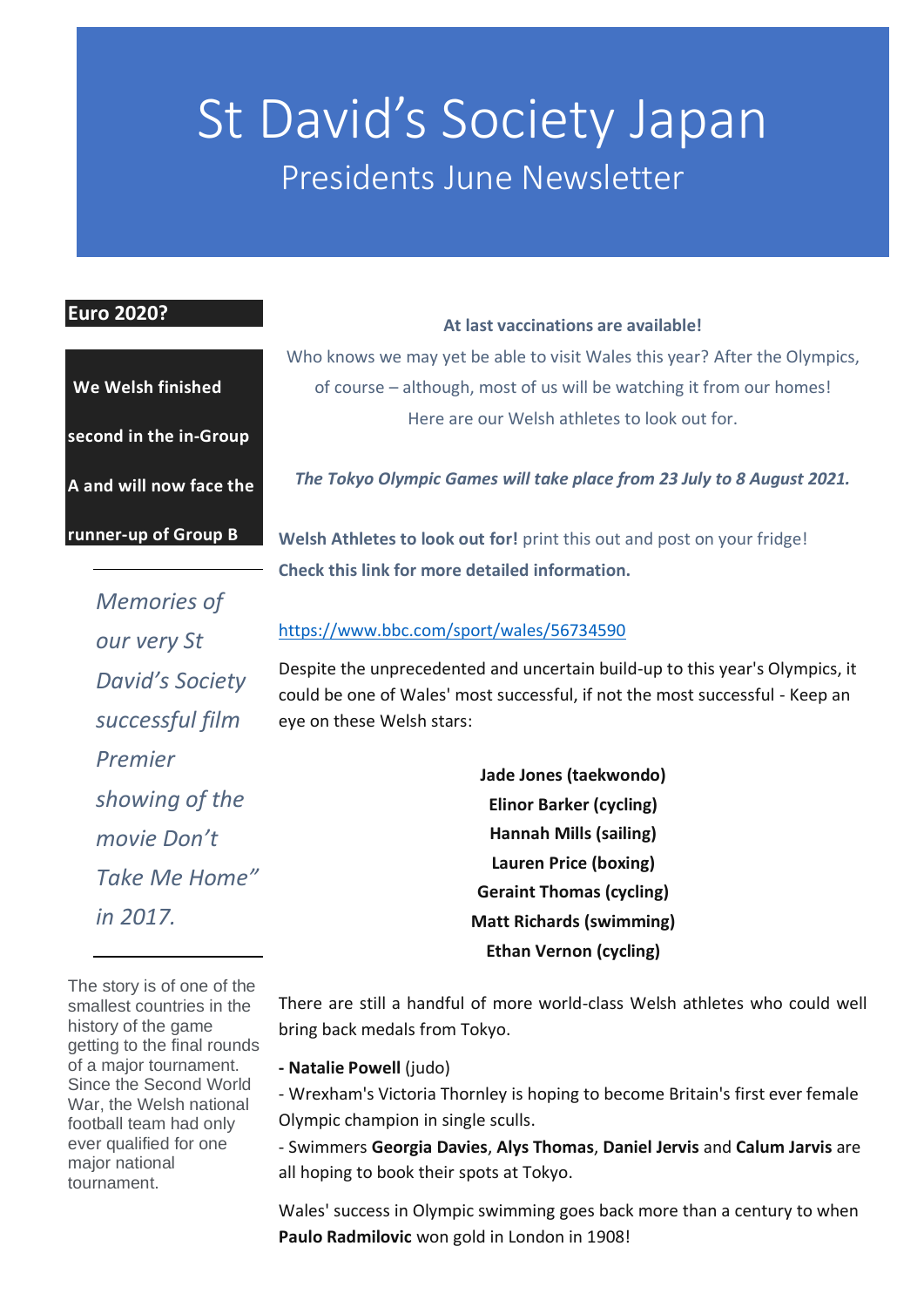# St David's Society Japan Presidents June Newsletter

#### **Euro 2020?**

| We Welsh finished             |
|-------------------------------|
| <u>second in the in-Group</u> |
| A and will now face the       |
| runner-up of Group B          |

**At last vaccinations are available!** 

Who knows we may yet be able to visit Wales this year? After the Olympics, of course – although, most of us will be watching it from our homes! Here are our Welsh athletes to look out for.

*The Tokyo Olympic Games will take place from 23 July to 8 August 2021.*

**Welsh Athletes to look out for!** print this out and post on your fridge! **Check this link for more detailed information.**

*Memories of our very St David's Society successful film Premier showing of the movie Don't Take Me Home" in 2017.*

#### <https://www.bbc.com/sport/wales/56734590>

Despite the unprecedented and uncertain build-up to this year's Olympics, it could be one of Wales' most successful, if not the most successful - Keep an eye on these Welsh stars:

> **Jade Jones (taekwondo) Elinor Barker (cycling) Hannah Mills (sailing) Lauren Price (boxing) Geraint Thomas (cycling) Matt Richards (swimming) Ethan Vernon (cycling)**

The story is of one of the smallest countries in the history of the game getting to the final rounds of a major tournament. Since the Second World War, the Welsh national football team had only ever qualified for one major national tournament.

There are still a handful of more world-class Welsh athletes who could well bring back medals from Tokyo.

**- Natalie Powell** (judo)

- Wrexham's Victoria Thornley is hoping to become Britain's first ever female Olympic champion in single sculls.

- Swimmers **Georgia Davies**, **Alys Thomas**, **Daniel Jervis** and **Calum Jarvis** are all hoping to book their spots at Tokyo.

Wales' success in Olympic swimming goes back more than a century to when **Paulo Radmilovic** won gold in London in 1908!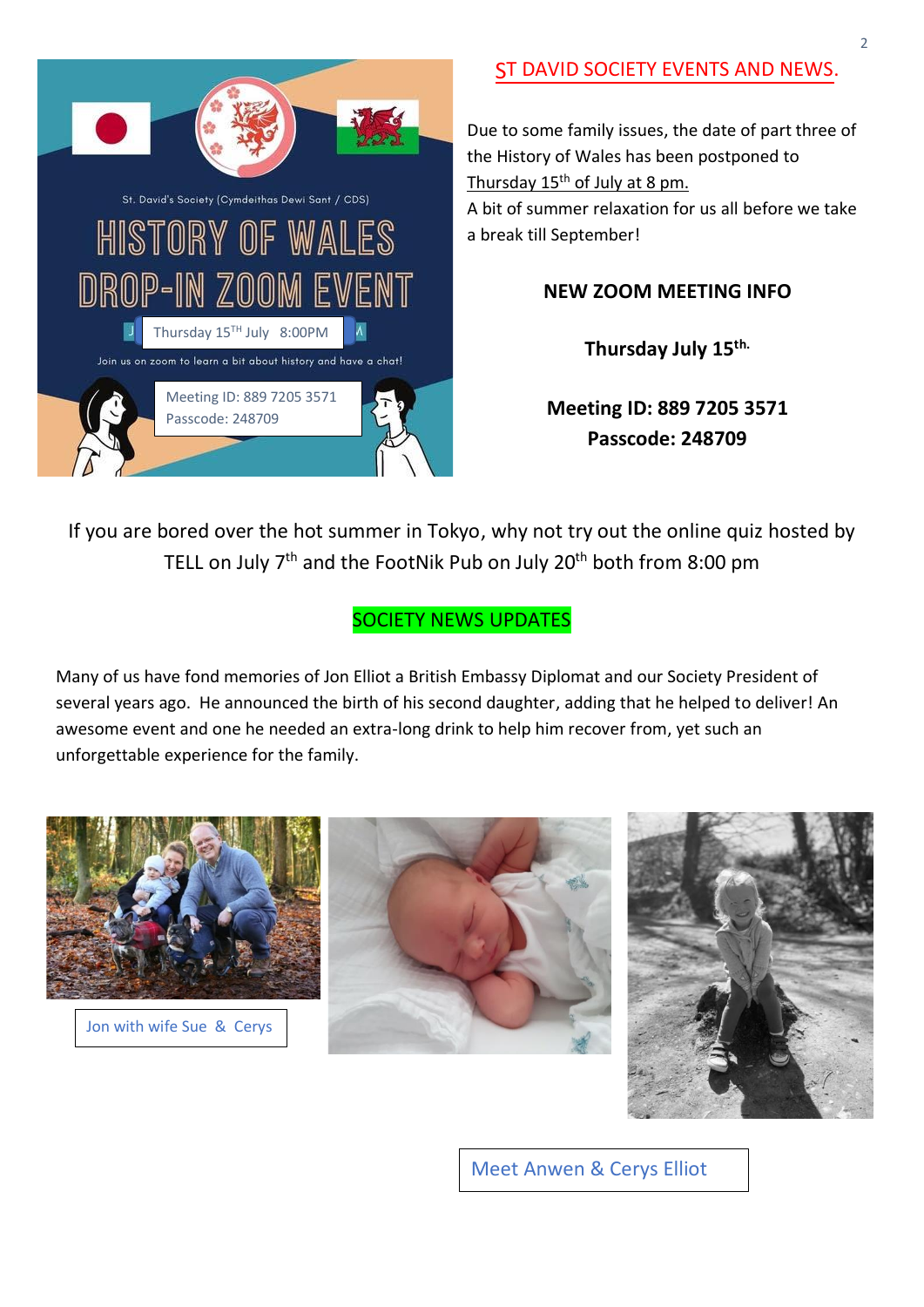

# ST DAVID SOCIETY EVENTS AND NEWS.

Due to some family issues, the date of part three of the History of Wales has been postponed to Thursday  $15<sup>th</sup>$  of July at 8 pm. A bit of summer relaxation for us all before we take a break till September!

#### **NEW ZOOM MEETING INFO**

**Thursday July 15th.** 

**Meeting ID: 889 7205 3571 Passcode: 248709**

If you are bored over the hot summer in Tokyo, why not try out the online quiz hosted by TELL on July  $7<sup>th</sup>$  and the FootNik Pub on July 20<sup>th</sup> both from 8:00 pm

#### SOCIETY NEWS UPDATES

Many of us have fond memories of Jon Elliot a British Embassy Diplomat and our Society President of several years ago. He announced the birth of his second daughter, adding that he helped to deliver! An awesome event and one he needed an extra-long drink to help him recover from, yet such an unforgettable experience for the family.



Jon with wife Sue & Cerys





Meet Anwen & Cerys Elliot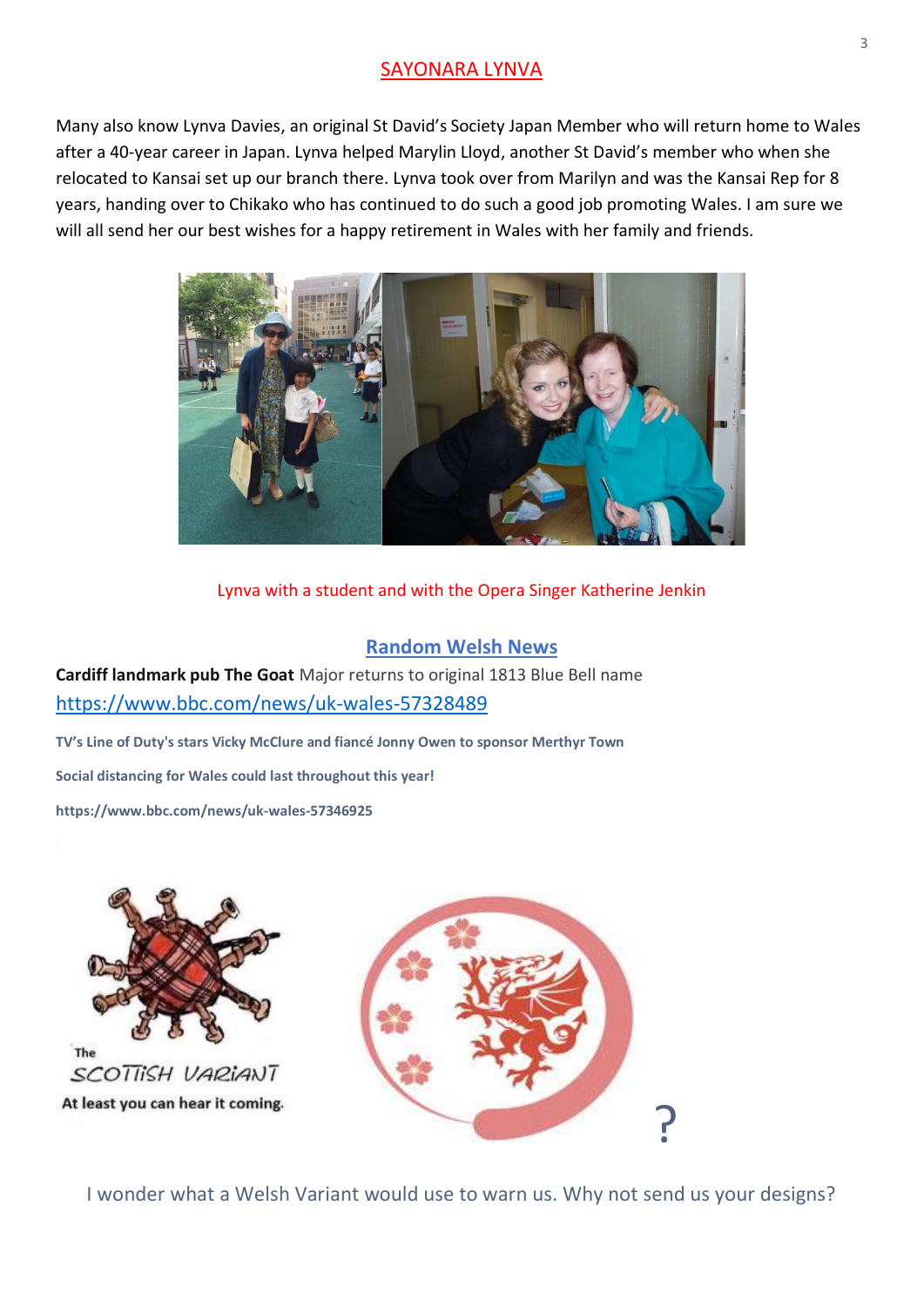#### SAYONARA LYNVA

Many also know Lynva Davies, an original St David's Society Japan Member who will return home to Wales after a 40-year career in Japan. Lynva helped Marylin Lloyd, another St David's member who when she relocated to Kansai set up our branch there. Lynva took over from Marilyn and was the Kansai Rep for 8 years, handing over to Chikako who has continued to do such a good job promoting Wales. I am sure we will all send her our best wishes for a happy retirement in Wales with her family and friends.



Lynva with a student and with the Opera Singer Katherine Jenkin

#### **Random Welsh News**

**Cardiff landmark pub The Goat** Major returns to original 1813 Blue Bell name <https://www.bbc.com/news/uk-wales-57328489>

**TV's Line of Duty's stars Vicky McClure and fiancé Jonny Owen to sponsor Merthyr Town Social distancing for Wales could last throughout this year!**

**https://www.bbc.com/news/uk-wales-57346925**



I wonder what a Welsh Variant would use to warn us. Why not send us your designs?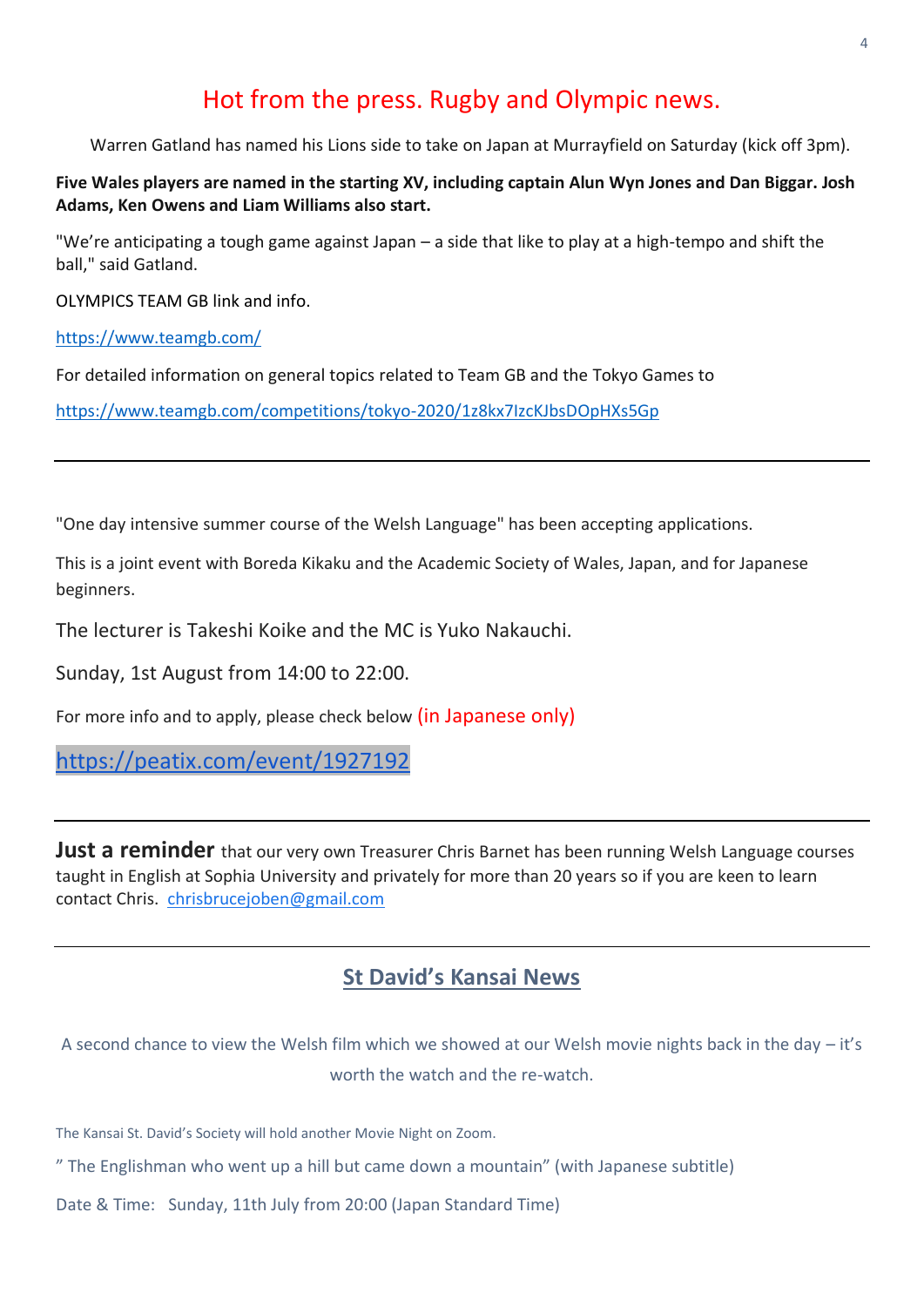# Hot from the press. Rugby and Olympic news.

Warren Gatland has named his Lions side to take on Japan at Murrayfield on Saturday (kick off 3pm).

#### **Five Wales players are named in the starting XV, including captain Alun Wyn Jones and Dan Biggar. Josh Adams, Ken Owens and Liam Williams also start.**

"We're anticipating a tough game against Japan – a side that like to play at a high-tempo and shift the ball," said Gatland.

OLYMPICS TEAM GB link and info.

<https://www.teamgb.com/>

For detailed information on general topics related to Team GB and the Tokyo Games to

<https://www.teamgb.com/competitions/tokyo-2020/1z8kx7IzcKJbsDOpHXs5Gp>

"One day intensive summer course of the Welsh Language" has been accepting applications.

This is a joint event with Boreda Kikaku and the Academic Society of Wales, Japan, and for Japanese beginners.

The lecturer is Takeshi Koike and the MC is Yuko Nakauchi.

Sunday, 1st August from 14:00 to 22:00.

For more info and to apply, please check below (in Japanese only)

[https://peatix.com/event/1927192](https://l.facebook.com/l.php?u=https%3A%2F%2Fpeatix.com%2Fevent%2F1927192%3Ffbclid%3DIwAR3Y6wjrloGepsWBP7Im3HxO9CGfAVUhsdh-uziEMRhG1fPJqBTZqTI0wFo&h=AT01zIMf71UoSWnQaireyO-8Xrx4vEBUXUyYyj86Xm9z2u46wdEyY-wMkiIyxMxzMdkDwucycWO-SOtfhXh7-XX3ndrMFKYarlNC6UZq6W3o7P02aDWbC2Zp70ItYnGDAA&__tn__=-UK-y-R&c%5b0%5d=AT2t8OjLyLNbeDLeACju9NVvnfjyAxXwTUiqrg16h6WNs-_mmtibnU3WRh8Pz6mJ6hf8Qreis2TfNL97wFkfnw7Wm1HCLjgn-gfwe7yMZjjdNrgFw6zCP9HCbVPXCykYajjJhP86FX4xZDW5NVT6K_CkDjC6TO20lZ4cs-RdV3nyv36sbzUCBELolDAEA-QdKG0ZQqIQcKda4wwTCOMZXLgPXfvTQzznEdjQbsPzpQ)

Just a reminder that our very own Treasurer Chris Barnet has been running Welsh Language courses taught in English at Sophia University and privately for more than 20 years so if you are keen to learn contact Chris. [chrisbrucejoben@gmail.com](mailto:chrisbrucejoben@gmail.com)

## **St David's Kansai News**

A second chance to view the Welsh film which we showed at our Welsh movie nights back in the day – it's worth the watch and the re-watch.

The Kansai St. David's Society will hold another Movie Night on Zoom.

" The Englishman who went up a hill but came down a mountain" (with Japanese subtitle)

Date & Time: Sunday, 11th July from 20:00 (Japan Standard Time)